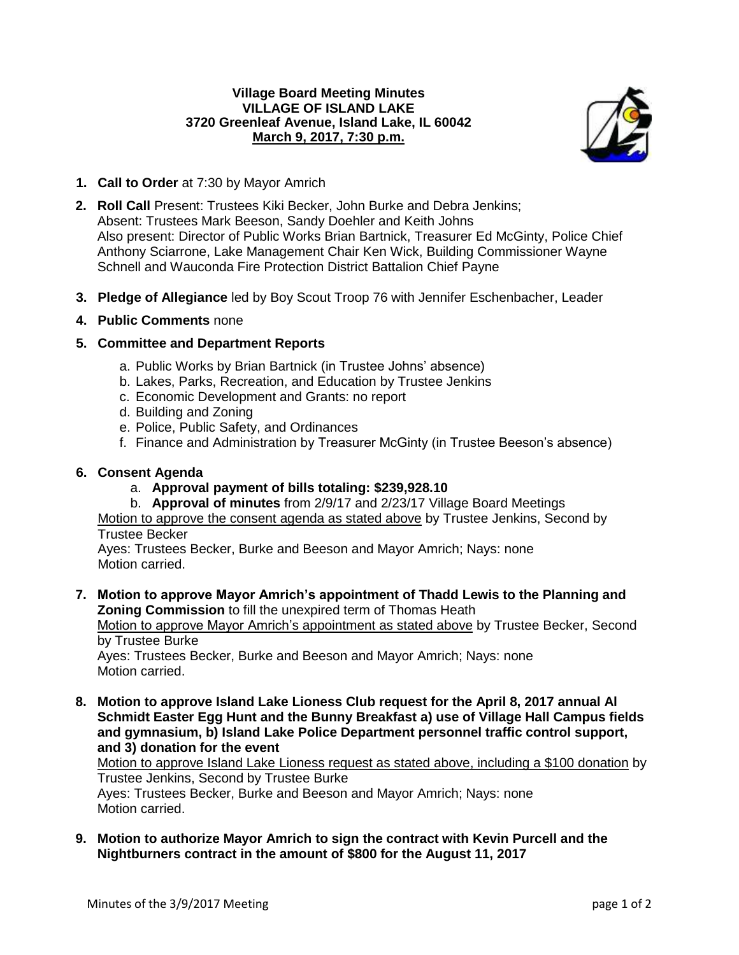# **Village Board Meeting Minutes VILLAGE OF ISLAND LAKE 3720 Greenleaf Avenue, Island Lake, IL 60042 March 9, 2017, 7:30 p.m.**



- **1. Call to Order** at 7:30 by Mayor Amrich
- **2. Roll Call** Present: Trustees Kiki Becker, John Burke and Debra Jenkins; Absent: Trustees Mark Beeson, Sandy Doehler and Keith Johns Also present: Director of Public Works Brian Bartnick, Treasurer Ed McGinty, Police Chief Anthony Sciarrone, Lake Management Chair Ken Wick, Building Commissioner Wayne Schnell and Wauconda Fire Protection District Battalion Chief Payne
- **3. Pledge of Allegiance** led by Boy Scout Troop 76 with Jennifer Eschenbacher, Leader

# **4. Public Comments** none

# **5. Committee and Department Reports**

- a. Public Works by Brian Bartnick (in Trustee Johns' absence)
- b. Lakes, Parks, Recreation, and Education by Trustee Jenkins
- c. Economic Development and Grants: no report
- d. Building and Zoning
- e. Police, Public Safety, and Ordinances
- f. Finance and Administration by Treasurer McGinty (in Trustee Beeson's absence)

### **6. Consent Agenda**

- a. **Approval payment of bills totaling: \$239,928.10**
- b. **Approval of minutes** from 2/9/17 and 2/23/17 Village Board Meetings

Motion to approve the consent agenda as stated above by Trustee Jenkins, Second by Trustee Becker

Ayes: Trustees Becker, Burke and Beeson and Mayor Amrich; Nays: none Motion carried.

**7. Motion to approve Mayor Amrich's appointment of Thadd Lewis to the Planning and Zoning Commission** to fill the unexpired term of Thomas Heath

Motion to approve Mayor Amrich's appointment as stated above by Trustee Becker, Second by Trustee Burke

Ayes: Trustees Becker, Burke and Beeson and Mayor Amrich; Nays: none Motion carried.

**8. Motion to approve Island Lake Lioness Club request for the April 8, 2017 annual Al Schmidt Easter Egg Hunt and the Bunny Breakfast a) use of Village Hall Campus fields and gymnasium, b) Island Lake Police Department personnel traffic control support, and 3) donation for the event**

Motion to approve Island Lake Lioness request as stated above, including a \$100 donation by Trustee Jenkins, Second by Trustee Burke Ayes: Trustees Becker, Burke and Beeson and Mayor Amrich; Nays: none Motion carried.

**9. Motion to authorize Mayor Amrich to sign the contract with Kevin Purcell and the Nightburners contract in the amount of \$800 for the August 11, 2017**